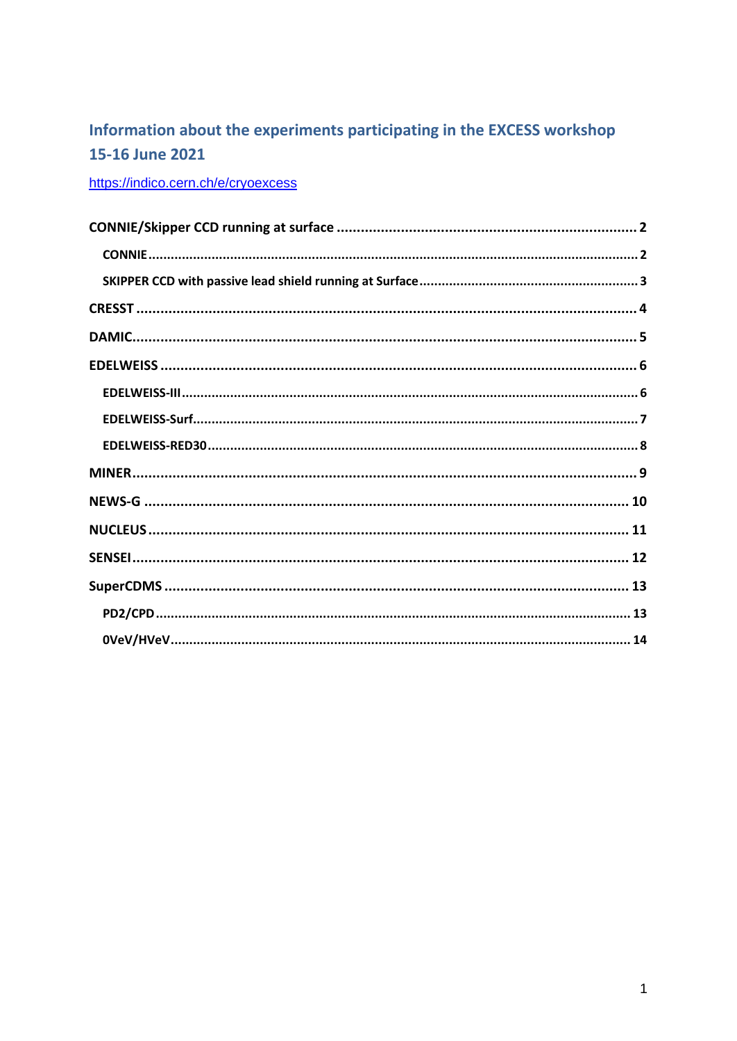## Information about the experiments participating in the EXCESS workshop 15-16 June 2021

https://indico.cern.ch/e/cryoexcess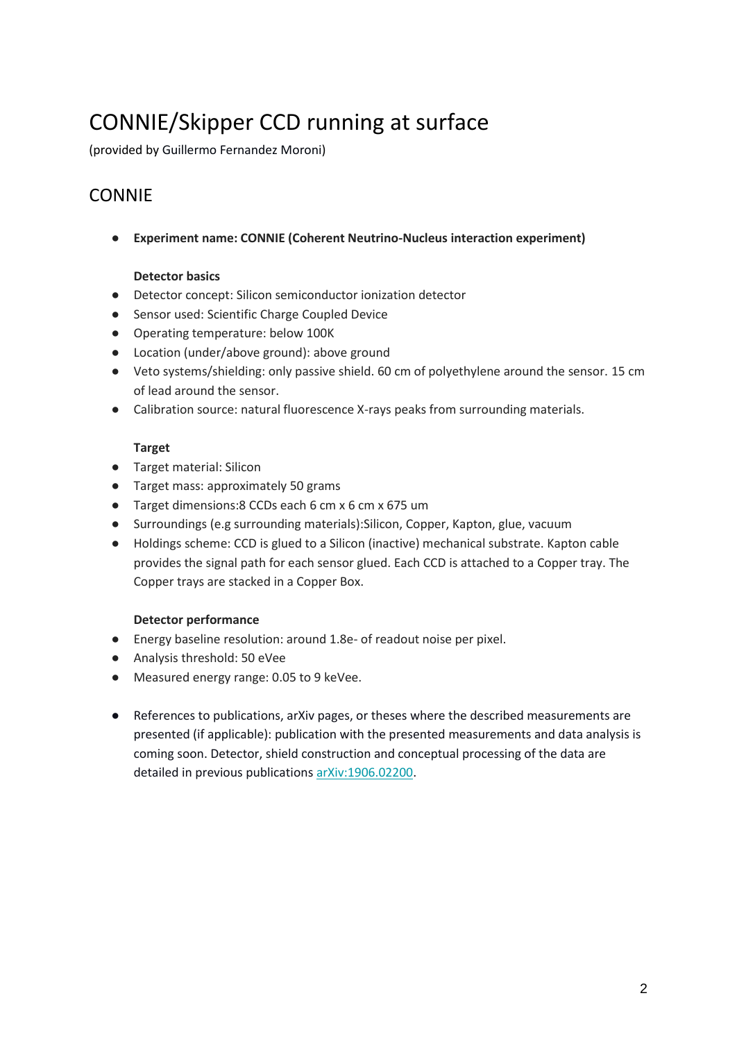# <span id="page-1-0"></span>CONNIE/Skipper CCD running at surface

<span id="page-1-1"></span>(provided by Guillermo Fernandez Moroni)

### CONNIE

● **Experiment name: CONNIE (Coherent Neutrino-Nucleus interaction experiment)**

### **Detector basics**

- Detector concept: Silicon semiconductor ionization detector
- Sensor used: Scientific Charge Coupled Device
- Operating temperature: below 100K
- Location (under/above ground): above ground
- Veto systems/shielding: only passive shield. 60 cm of polyethylene around the sensor. 15 cm of lead around the sensor.
- Calibration source: natural fluorescence X-rays peaks from surrounding materials.

### **Target**

- Target material: Silicon
- Target mass: approximately 50 grams
- Target dimensions:8 CCDs each 6 cm x 6 cm x 675 um
- Surroundings (e.g surrounding materials):Silicon, Copper, Kapton, glue, vacuum
- Holdings scheme: CCD is glued to a Silicon (inactive) mechanical substrate. Kapton cable provides the signal path for each sensor glued. Each CCD is attached to a Copper tray. The Copper trays are stacked in a Copper Box.

- Energy baseline resolution: around 1.8e- of readout noise per pixel.
- Analysis threshold: 50 eVee
- Measured energy range: 0.05 to 9 keVee.
- References to publications, arXiv pages, or theses where the described measurements are presented (if applicable): publication with the presented measurements and data analysis is coming soon. Detector, shield construction and conceptual processing of the data are detailed in previous publication[s arXiv:1906.02200.](https://arxiv.org/abs/1906.02200)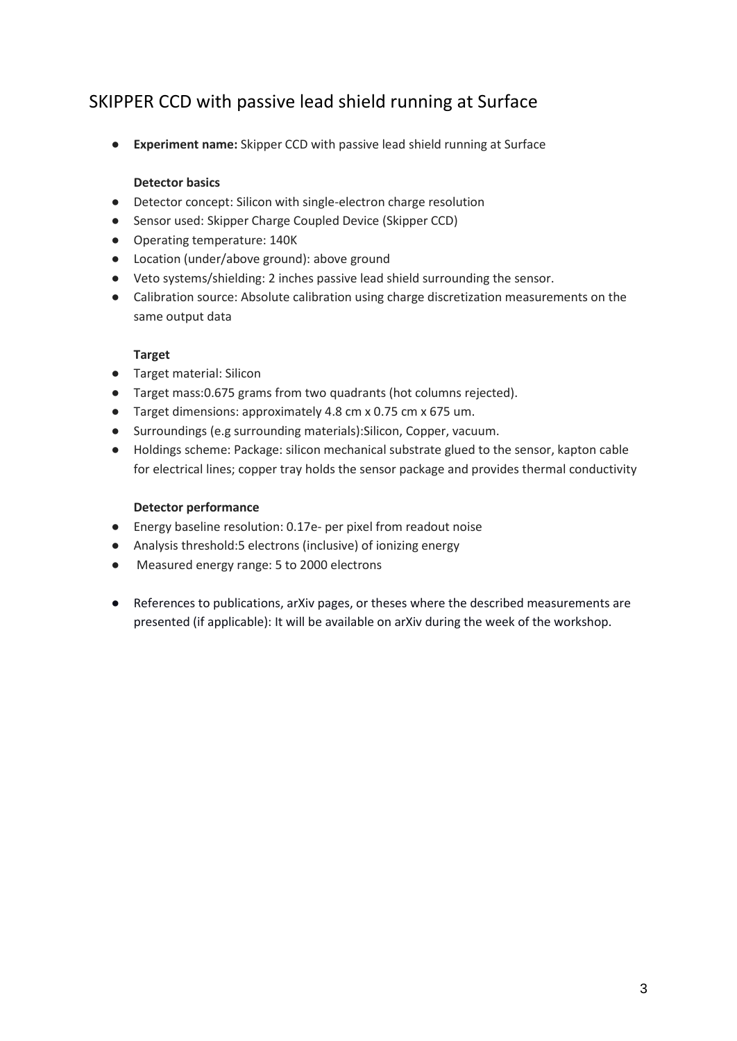### <span id="page-2-0"></span>SKIPPER CCD with passive lead shield running at Surface

● **Experiment name:** Skipper CCD with passive lead shield running at Surface

### **Detector basics**

- Detector concept: Silicon with single-electron charge resolution
- Sensor used: Skipper Charge Coupled Device (Skipper CCD)
- Operating temperature: 140K
- Location (under/above ground): above ground
- Veto systems/shielding: 2 inches passive lead shield surrounding the sensor.
- Calibration source: Absolute calibration using charge discretization measurements on the same output data

### **Target**

- Target material: Silicon
- Target mass:0.675 grams from two quadrants (hot columns rejected).
- Target dimensions: approximately 4.8 cm x 0.75 cm x 675 um.
- Surroundings (e.g surrounding materials):Silicon, Copper, vacuum.
- Holdings scheme: Package: silicon mechanical substrate glued to the sensor, kapton cable for electrical lines; copper tray holds the sensor package and provides thermal conductivity

- Energy baseline resolution: 0.17e- per pixel from readout noise
- Analysis threshold:5 electrons (inclusive) of ionizing energy
- Measured energy range: 5 to 2000 electrons
- References to publications, arXiv pages, or theses where the described measurements are presented (if applicable): It will be available on arXiv during the week of the workshop.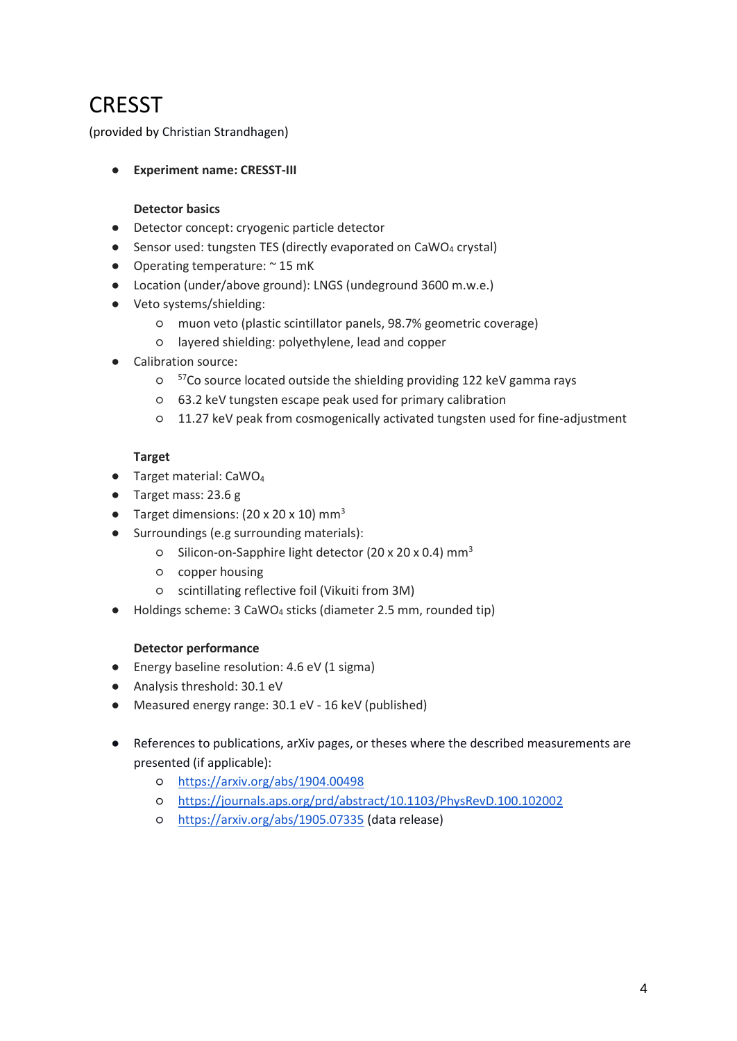# <span id="page-3-0"></span>**CRESST**

(provided by Christian Strandhagen)

● **Experiment name: CRESST-III**

### **Detector basics**

- Detector concept: cryogenic particle detector
- Sensor used: tungsten TES (directly evaporated on CaWO4 crystal)
- Operating temperature:  $\sim$  15 mK
- Location (under/above ground): LNGS (undeground 3600 m.w.e.)
- Veto systems/shielding:
	- muon veto (plastic scintillator panels, 98.7% geometric coverage)
	- layered shielding: polyethylene, lead and copper
- Calibration source:
	- o <sup>57</sup>Co source located outside the shielding providing 122 keV gamma rays
	- 63.2 keV tungsten escape peak used for primary calibration
	- 11.27 keV peak from cosmogenically activated tungsten used for fine-adjustment

### **Target**

- Target material: CaWO<sub>4</sub>
- Target mass: 23.6 g
- Target dimensions:  $(20 \times 20 \times 10)$  mm<sup>3</sup>
- Surroundings (e.g surrounding materials):
	- Silicon-on-Sapphire light detector (20 x 20 x 0.4) mm<sup>3</sup>
	- copper housing
	- scintillating reflective foil (Vikuiti from 3M)
- Holdings scheme: 3 CaWO<sup>4</sup> sticks (diameter 2.5 mm, rounded tip)

- Energy baseline resolution: 4.6 eV (1 sigma)
- Analysis threshold: 30.1 eV
- Measured energy range: 30.1 eV 16 keV (published)
- References to publications, arXiv pages, or theses where the described measurements are presented (if applicable):
	- <https://arxiv.org/abs/1904.00498>
	- <https://journals.aps.org/prd/abstract/10.1103/PhysRevD.100.102002>
	- <https://arxiv.org/abs/1905.07335> (data release)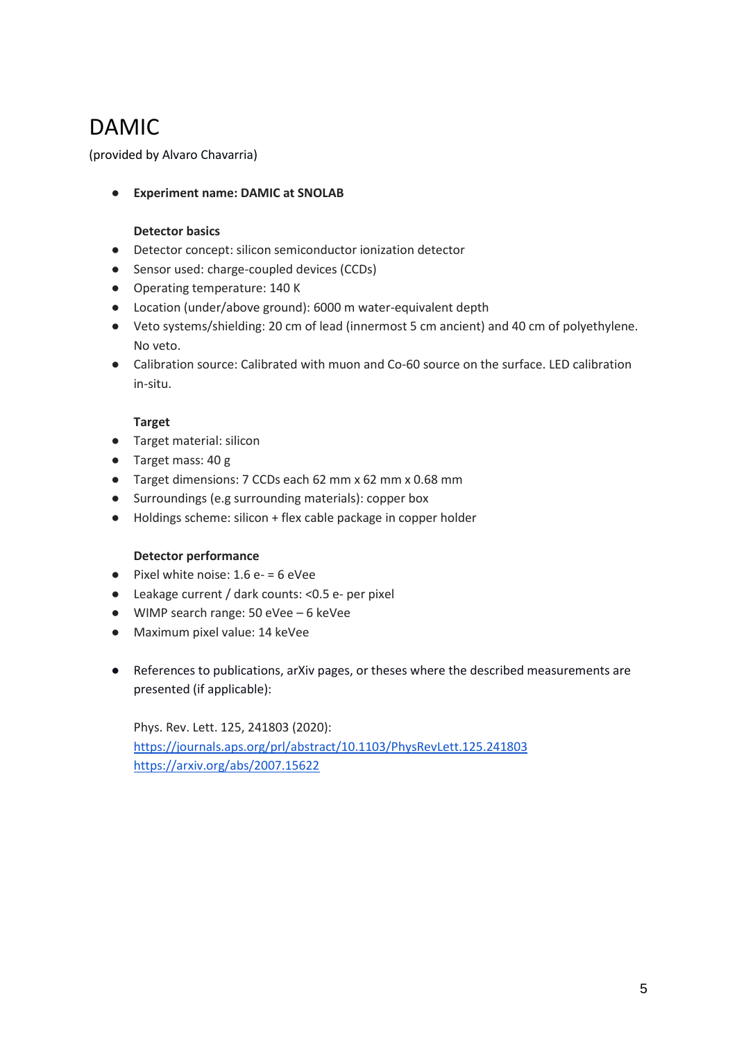# <span id="page-4-0"></span>DAMIC

(provided by Alvaro Chavarria)

● **Experiment name: DAMIC at SNOLAB**

### **Detector basics**

- Detector concept: silicon semiconductor ionization detector
- Sensor used: charge-coupled devices (CCDs)
- Operating temperature: 140 K
- Location (under/above ground): 6000 m water-equivalent depth
- Veto systems/shielding: 20 cm of lead (innermost 5 cm ancient) and 40 cm of polyethylene. No veto.
- Calibration source: Calibrated with muon and Co-60 source on the surface. LED calibration in-situ.

### **Target**

- Target material: silicon
- Target mass: 40 g
- Target dimensions: 7 CCDs each 62 mm x 62 mm x 0.68 mm
- Surroundings (e.g surrounding materials): copper box
- Holdings scheme: silicon + flex cable package in copper holder

### **Detector performance**

- $\bullet$  Pixel white noise: 1.6 e- = 6 eVee
- Leakage current / dark counts: <0.5 e- per pixel
- WIMP search range: 50 eVee 6 keVee
- Maximum pixel value: 14 keVee
- References to publications, arXiv pages, or theses where the described measurements are presented (if applicable):

Phys. Rev. Lett. 125, 241803 (2020): <https://journals.aps.org/prl/abstract/10.1103/PhysRevLett.125.241803> <https://arxiv.org/abs/2007.15622>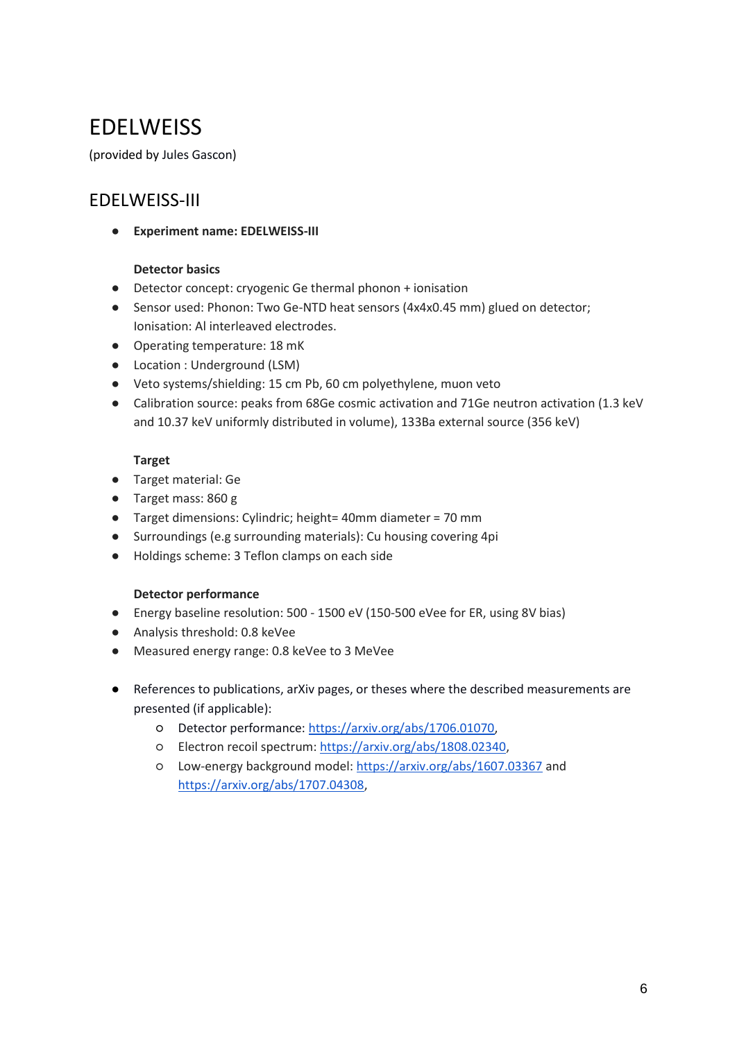## <span id="page-5-0"></span>**EDELWEISS**

<span id="page-5-1"></span>(provided by Jules Gascon)

### EDELWEISS-III

● **Experiment name: EDELWEISS-III**

### **Detector basics**

- Detector concept: cryogenic Ge thermal phonon + ionisation
- Sensor used: Phonon: Two Ge-NTD heat sensors (4x4x0.45 mm) glued on detector; Ionisation: Al interleaved electrodes.
- Operating temperature: 18 mK
- Location : Underground (LSM)
- Veto systems/shielding: 15 cm Pb, 60 cm polyethylene, muon veto
- Calibration source: peaks from 68Ge cosmic activation and 71Ge neutron activation (1.3 keV and 10.37 keV uniformly distributed in volume), 133Ba external source (356 keV)

### **Target**

- Target material: Ge
- Target mass: 860 g
- Target dimensions: Cylindric; height= 40mm diameter = 70 mm
- Surroundings (e.g surrounding materials): Cu housing covering 4pi
- Holdings scheme: 3 Teflon clamps on each side

- Energy baseline resolution: 500 1500 eV (150-500 eVee for ER, using 8V bias)
- Analysis threshold: 0.8 keVee
- Measured energy range: 0.8 keVee to 3 MeVee
- References to publications, arXiv pages, or theses where the described measurements are presented (if applicable):
	- Detector performance: [https://arxiv.org/abs/1706.01070,](https://arxiv.org/abs/1706.01070)
	- Electron recoil spectrum[: https://arxiv.org/abs/1808.02340,](https://arxiv.org/abs/1808.02340)
	- Low-energy background model:<https://arxiv.org/abs/1607.03367> and [https://arxiv.org/abs/1707.04308,](https://arxiv.org/abs/1707.04308)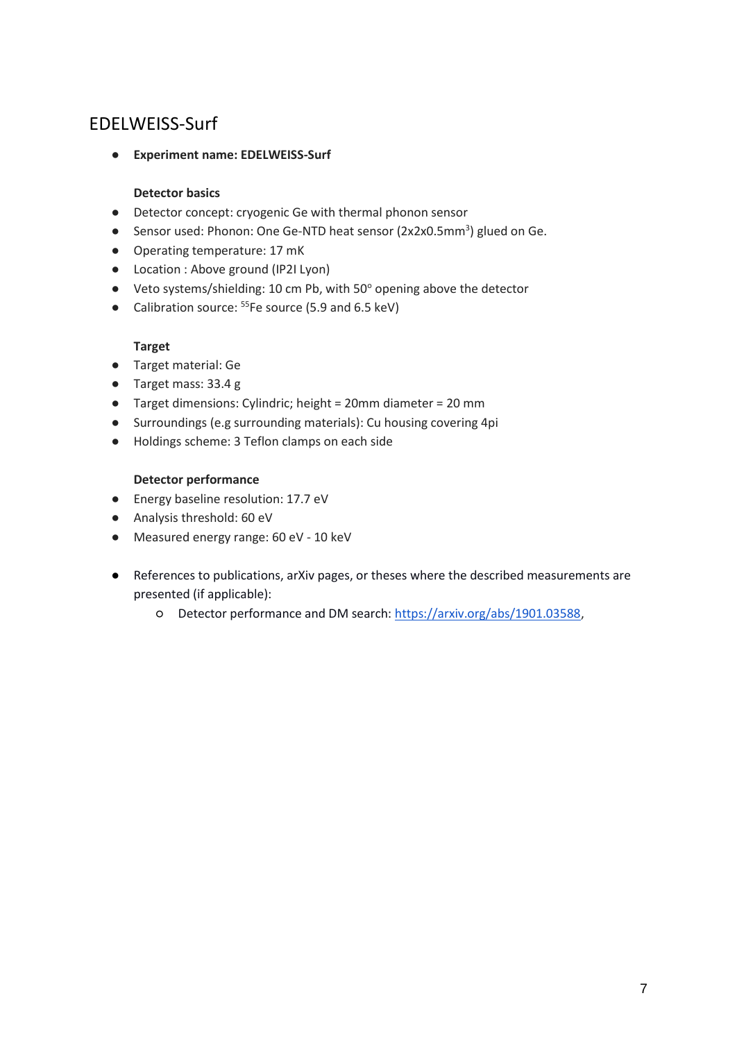### <span id="page-6-0"></span>EDELWEISS-Surf

● **Experiment name: EDELWEISS-Surf**

### **Detector basics**

- Detector concept: cryogenic Ge with thermal phonon sensor
- Sensor used: Phonon: One Ge-NTD heat sensor (2x2x0.5mm<sup>3</sup>) glued on Ge.
- Operating temperature: 17 mK
- Location : Above ground (IP2I Lyon)
- Veto systems/shielding: 10 cm Pb, with 50° opening above the detector
- Calibration source: <sup>55</sup>Fe source (5.9 and 6.5 keV)

### **Target**

- Target material: Ge
- Target mass: 33.4 g
- Target dimensions: Cylindric; height = 20mm diameter = 20 mm
- Surroundings (e.g surrounding materials): Cu housing covering 4pi
- Holdings scheme: 3 Teflon clamps on each side

- Energy baseline resolution: 17.7 eV
- Analysis threshold: 60 eV
- Measured energy range: 60 eV 10 keV
- References to publications, arXiv pages, or theses where the described measurements are presented (if applicable):
	- Detector performance and DM search: [https://arxiv.org/abs/1901.03588,](https://arxiv.org/abs/1901.03588)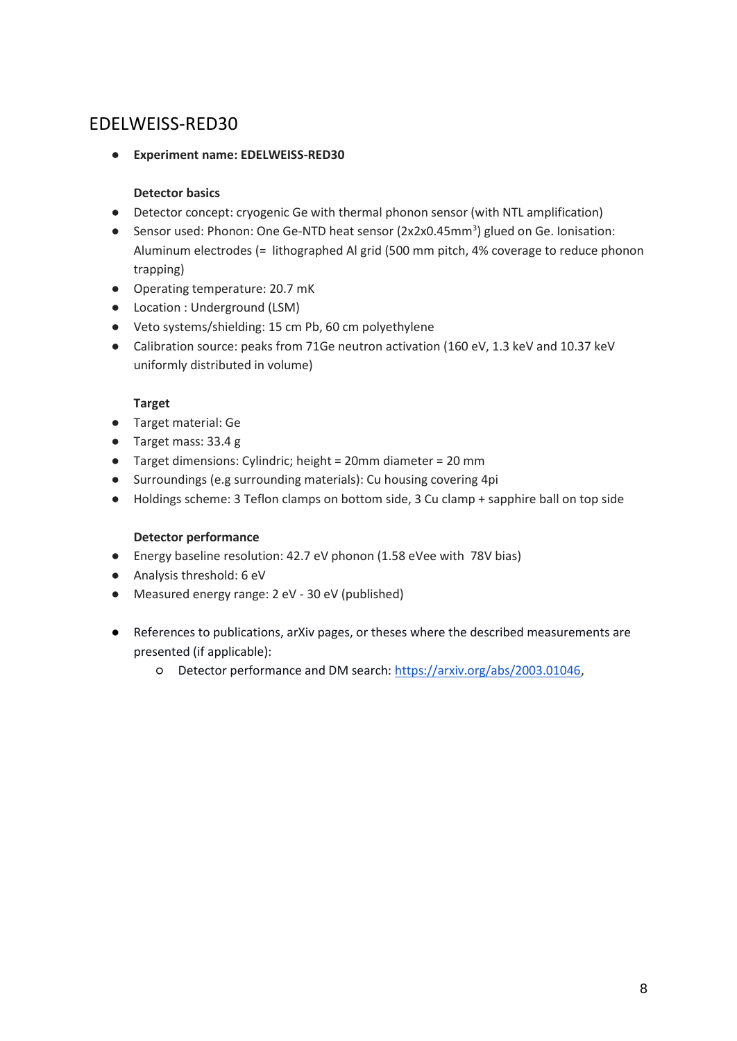### <span id="page-7-0"></span>EDELWEISS-RED30

● **Experiment name: EDELWEISS-RED30**

### **Detector basics**

- Detector concept: cryogenic Ge with thermal phonon sensor (with NTL amplification)
- Sensor used: Phonon: One Ge-NTD heat sensor (2x2x0.45mm<sup>3</sup>) glued on Ge. Ionisation: Aluminum electrodes (= lithographed Al grid (500 mm pitch, 4% coverage to reduce phonon trapping)
- Operating temperature: 20.7 mK
- Location : Underground (LSM)
- Veto systems/shielding: 15 cm Pb, 60 cm polyethylene
- Calibration source: peaks from 71Ge neutron activation (160 eV, 1.3 keV and 10.37 keV uniformly distributed in volume)

### **Target**

- Target material: Ge
- Target mass: 33.4 g
- Target dimensions: Cylindric; height = 20mm diameter = 20 mm
- Surroundings (e.g surrounding materials): Cu housing covering 4pi
- Holdings scheme: 3 Teflon clamps on bottom side, 3 Cu clamp + sapphire ball on top side

- Energy baseline resolution: 42.7 eV phonon (1.58 eVee with 78V bias)
- Analysis threshold: 6 eV
- Measured energy range: 2 eV 30 eV (published)
- References to publications, arXiv pages, or theses where the described measurements are presented (if applicable):
	- Detector performance and DM search: [https://arxiv.org/abs/2003.01046,](https://arxiv.org/abs/2003.01046)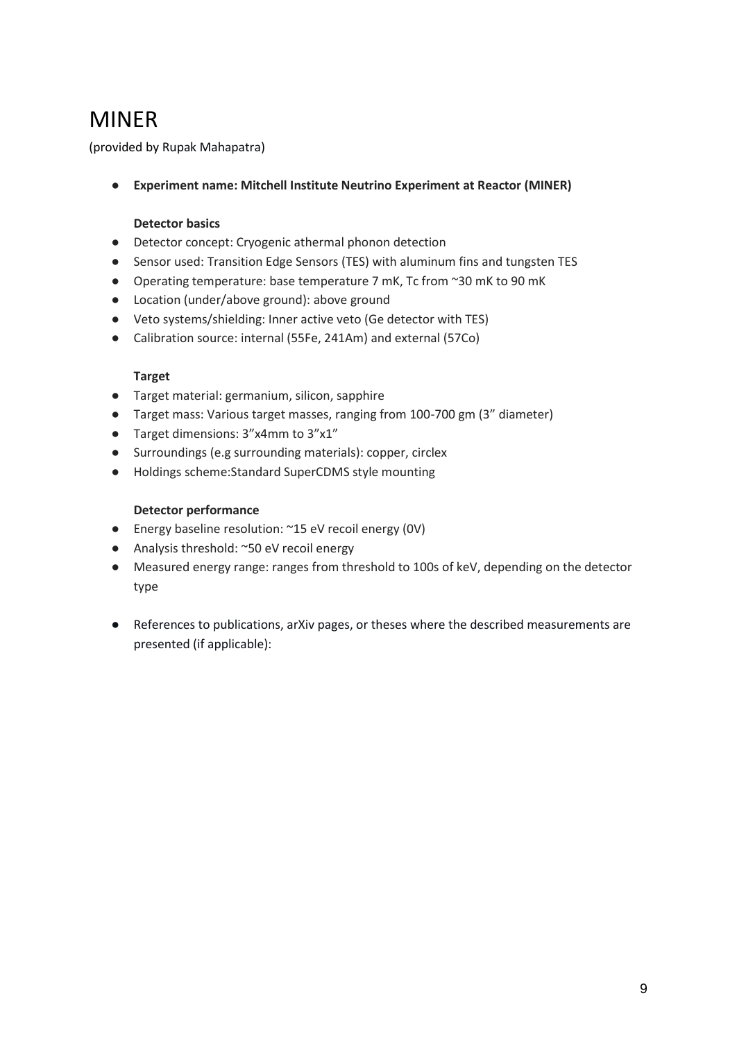## <span id="page-8-0"></span>MINER

(provided by Rupak Mahapatra)

● **Experiment name: Mitchell Institute Neutrino Experiment at Reactor (MINER)**

### **Detector basics**

- Detector concept: Cryogenic athermal phonon detection
- Sensor used: Transition Edge Sensors (TES) with aluminum fins and tungsten TES
- Operating temperature: base temperature 7 mK, Tc from ~30 mK to 90 mK
- Location (under/above ground): above ground
- Veto systems/shielding: Inner active veto (Ge detector with TES)
- Calibration source: internal (55Fe, 241Am) and external (57Co)

### **Target**

- Target material: germanium, silicon, sapphire
- Target mass: Various target masses, ranging from 100-700 gm (3" diameter)
- Target dimensions: 3"x4mm to 3"x1"
- Surroundings (e.g surrounding materials): copper, circlex
- Holdings scheme:Standard SuperCDMS style mounting

- Energy baseline resolution: ~15 eV recoil energy (0V)
- Analysis threshold: ~50 eV recoil energy
- Measured energy range: ranges from threshold to 100s of keV, depending on the detector type
- References to publications, arXiv pages, or theses where the described measurements are presented (if applicable):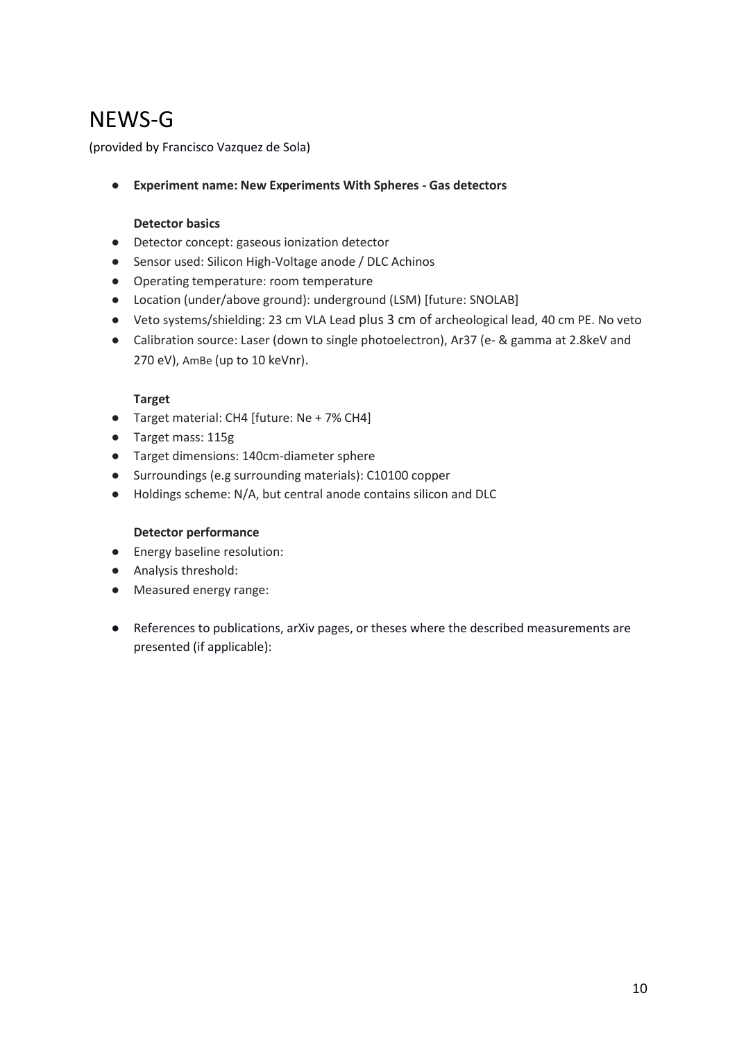## <span id="page-9-0"></span>NEWS-G

(provided by Francisco Vazquez de Sola)

● **Experiment name: New Experiments With Spheres - Gas detectors**

### **Detector basics**

- Detector concept: gaseous ionization detector
- Sensor used: Silicon High-Voltage anode / DLC Achinos
- Operating temperature: room temperature
- Location (under/above ground): underground (LSM) [future: SNOLAB]
- Veto systems/shielding: 23 cm VLA Lead plus 3 cm of archeological lead, 40 cm PE. No veto
- Calibration source: Laser (down to single photoelectron), Ar37 (e- & gamma at 2.8keV and 270 eV), AmBe (up to 10 keVnr).

### **Target**

- Target material: CH4 [future: Ne + 7% CH4]
- Target mass: 115g
- Target dimensions: 140cm-diameter sphere
- Surroundings (e.g surrounding materials): C10100 copper
- Holdings scheme: N/A, but central anode contains silicon and DLC

- Energy baseline resolution:
- Analysis threshold:
- Measured energy range:
- References to publications, arXiv pages, or theses where the described measurements are presented (if applicable):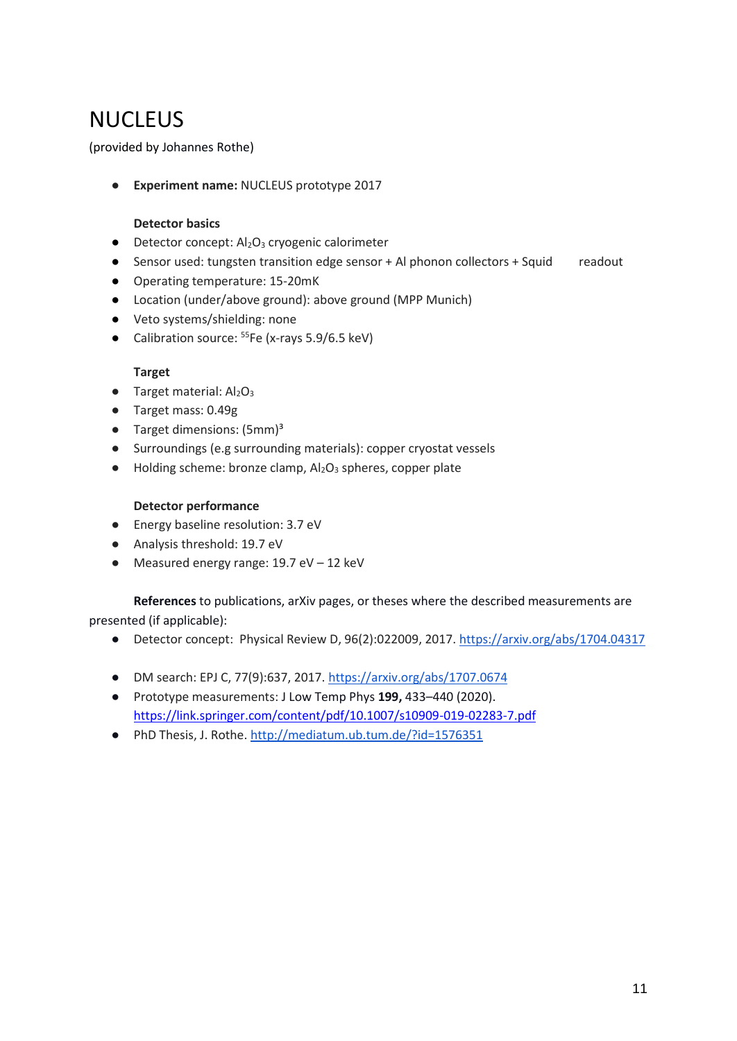## <span id="page-10-0"></span>**NUCLEUS**

(provided by Johannes Rothe)

● **Experiment name:** NUCLEUS prototype 2017

### **Detector basics**

- Detector concept: Al<sub>2</sub>O<sub>3</sub> cryogenic calorimeter
- Sensor used: tungsten transition edge sensor + Al phonon collectors + Squid readout
- Operating temperature: 15-20mK
- Location (under/above ground): above ground (MPP Munich)
- Veto systems/shielding: none
- Calibration source: <sup>55</sup>Fe (x-rays 5.9/6.5 keV)

### **Target**

- $\bullet$  Target material: Al<sub>2</sub>O<sub>3</sub>
- Target mass: 0.49g
- $\bullet$  Target dimensions: (5mm)<sup>3</sup>
- Surroundings (e.g surrounding materials): copper cryostat vessels
- $\bullet$  Holding scheme: bronze clamp,  $Al_2O_3$  spheres, copper plate

### **Detector performance**

- Energy baseline resolution: 3.7 eV
- Analysis threshold: 19.7 eV
- Measured energy range:  $19.7 \text{ eV} 12 \text{ keV}$

**References** to publications, arXiv pages, or theses where the described measurements are presented (if applicable):

- Detector concept: Physical Review D, 96(2):022009, 2017.<https://arxiv.org/abs/1704.04317>
- DM search: EPJ C, 77(9):637, 2017. [https://arxiv.org/abs/1707.0674](https://arxiv.org/abs/1707.06749)
- Prototype measurements: J Low Temp Phys **199,** 433–440 (2020). <https://link.springer.com/content/pdf/10.1007/s10909-019-02283-7.pdf>
- PhD Thesis, J. Rothe[. http://mediatum.ub.tum.de/?id=1576351](http://mediatum.ub.tum.de/?id=1576351)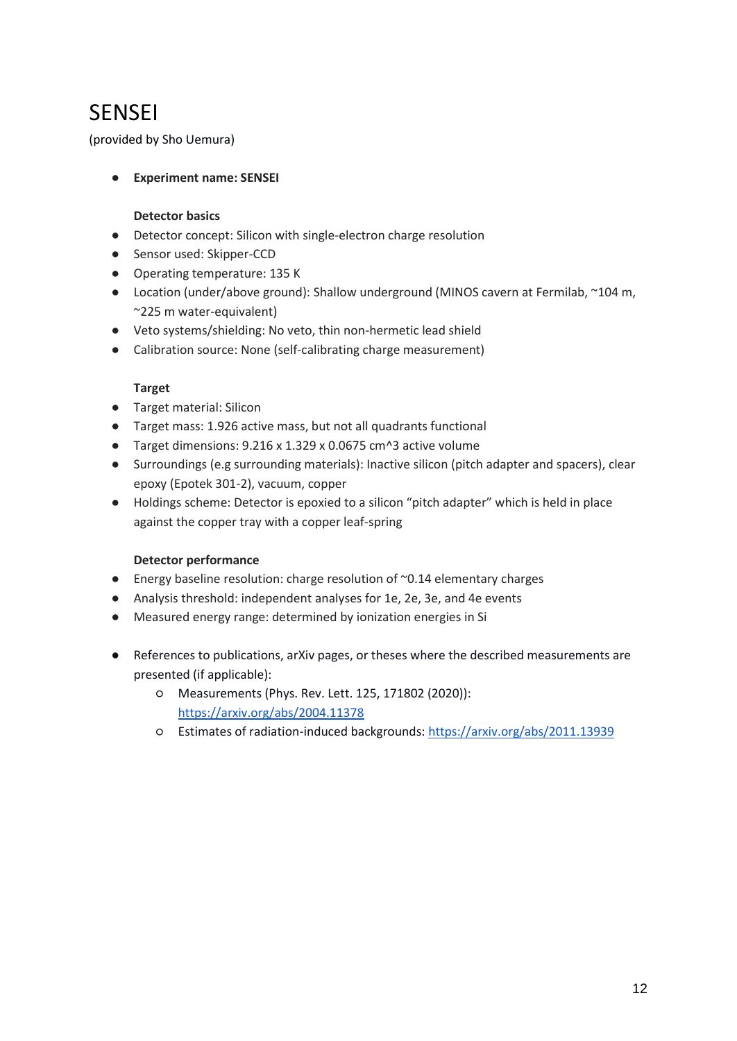## <span id="page-11-0"></span>**SENSEI**

(provided by Sho Uemura)

### ● **Experiment name: SENSEI**

#### **Detector basics**

- Detector concept: Silicon with single-electron charge resolution
- Sensor used: Skipper-CCD
- Operating temperature: 135 K
- Location (under/above ground): Shallow underground (MINOS cavern at Fermilab, ~104 m, ~225 m water-equivalent)
- Veto systems/shielding: No veto, thin non-hermetic lead shield
- Calibration source: None (self-calibrating charge measurement)

### **Target**

- Target material: Silicon
- Target mass: 1.926 active mass, but not all quadrants functional
- Target dimensions: 9.216 x 1.329 x 0.0675 cm^3 active volume
- Surroundings (e.g surrounding materials): Inactive silicon (pitch adapter and spacers), clear epoxy (Epotek 301-2), vacuum, copper
- Holdings scheme: Detector is epoxied to a silicon "pitch adapter" which is held in place against the copper tray with a copper leaf-spring

- Energy baseline resolution: charge resolution of ~0.14 elementary charges
- Analysis threshold: independent analyses for 1e, 2e, 3e, and 4e events
- Measured energy range: determined by ionization energies in Si
- References to publications, arXiv pages, or theses where the described measurements are presented (if applicable):
	- Measurements (Phys. Rev. Lett. 125, 171802 (2020)): <https://arxiv.org/abs/2004.11378>
	- Estimates of radiation-induced backgrounds:<https://arxiv.org/abs/2011.13939>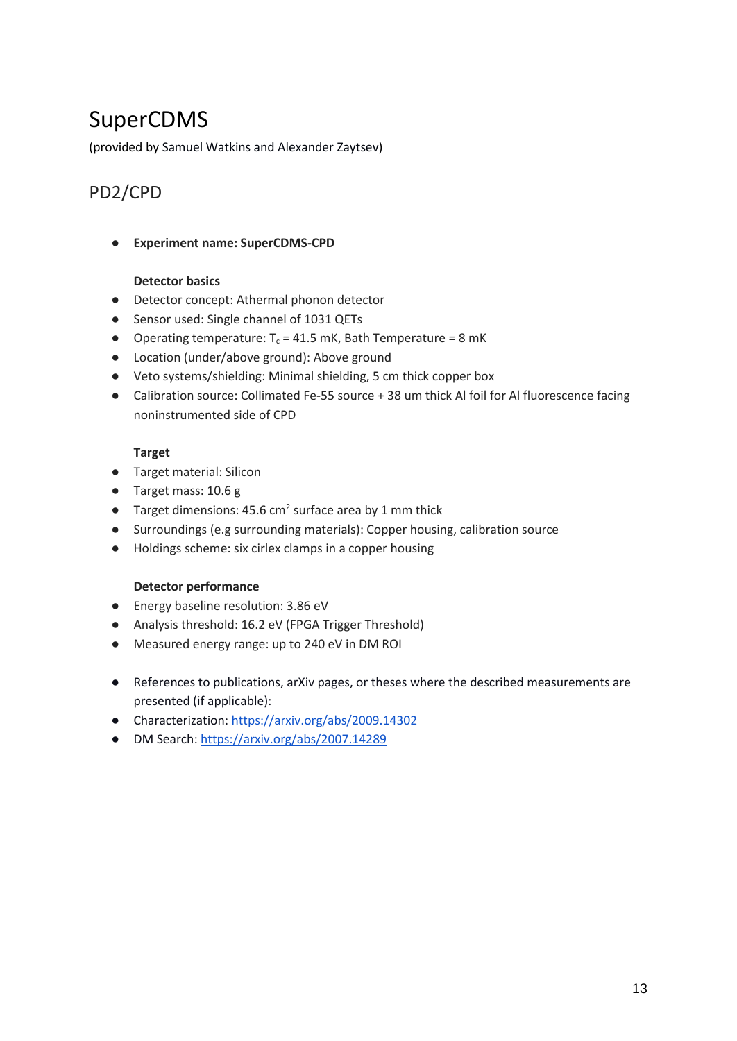## <span id="page-12-0"></span>SuperCDMS

<span id="page-12-1"></span>(provided by Samuel Watkins and Alexander Zaytsev)

## PD2/CPD

● **Experiment name: SuperCDMS-CPD**

### **Detector basics**

- Detector concept: Athermal phonon detector
- Sensor used: Single channel of 1031 QETs
- Operating temperature:  $T_c = 41.5$  mK, Bath Temperature = 8 mK
- Location (under/above ground): Above ground
- Veto systems/shielding: Minimal shielding, 5 cm thick copper box
- Calibration source: Collimated Fe-55 source + 38 um thick Al foil for Al fluorescence facing noninstrumented side of CPD

### **Target**

- Target material: Silicon
- Target mass: 10.6 g
- Target dimensions: 45.6  $\text{cm}^2$  surface area by 1 mm thick
- Surroundings (e.g surrounding materials): Copper housing, calibration source
- Holdings scheme: six cirlex clamps in a copper housing

- Energy baseline resolution: 3.86 eV
- Analysis threshold: 16.2 eV (FPGA Trigger Threshold)
- Measured energy range: up to 240 eV in DM ROI
- References to publications, arXiv pages, or theses where the described measurements are presented (if applicable):
- Characterization:<https://arxiv.org/abs/2009.14302>
- DM Search:<https://arxiv.org/abs/2007.14289>